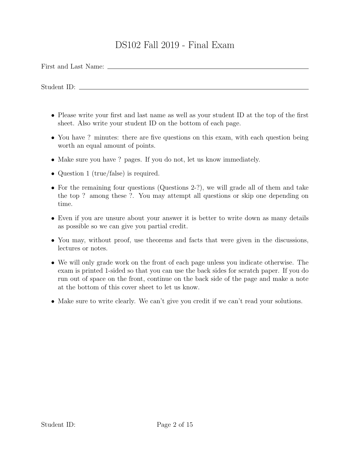## DS102 Fall 2019 - Final Exam

First and Last Name:

Student ID:

- Please write your first and last name as well as your student ID at the top of the first sheet. Also write your student ID on the bottom of each page.
- You have ? minutes: there are five questions on this exam, with each question being worth an equal amount of points.
- Make sure you have ? pages. If you do not, let us know immediately.
- Question 1 (true/false) is required.
- For the remaining four questions (Questions 2-?), we will grade all of them and take the top ? among these ?. You may attempt all questions or skip one depending on time.
- Even if you are unsure about your answer it is better to write down as many details as possible so we can give you partial credit.
- You may, without proof, use theorems and facts that were given in the discussions, lectures or notes.
- We will only grade work on the front of each page unless you indicate otherwise. The exam is printed 1-sided so that you can use the back sides for scratch paper. If you do run out of space on the front, continue on the back side of the page and make a note at the bottom of this cover sheet to let us know.
- Make sure to write clearly. We can't give you credit if we can't read your solutions.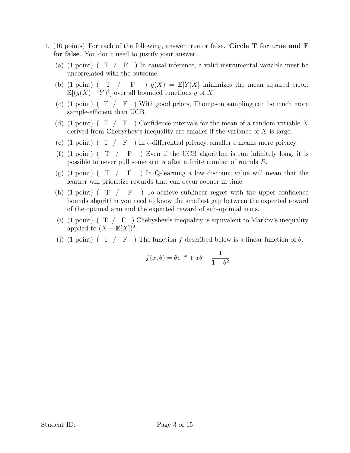- 1. (10 points) For each of the following, answer true or false. Circle T for true and F for false. You don't need to justify your answer.
	- (a)  $(1 \text{ point})$   $(T / F)$  In causal inference, a valid instrumental variable must be uncorrelated with the outcome.
	- (b) (1 point) ( $T / F$ )  $g(X) = \mathbb{E}[Y|X]$  minimizes the mean squared error:  $\mathbb{E}[(g(X) - Y)^2]$  over all bounded functions g of X.
	- (c) (1 point) ( $T / F$ ) With good priors, Thompson sampling can be much more sample-efficient than UCB.
	- (d) (1 point) ( T / F ) Confidence intervals for the mean of a random variable *X* derived from Chebyshev's inequality are smaller if the variance of *X* is large.
	- (e) (1 point) (  $T / F$  ) In  $\epsilon$ -differential privacy, smaller  $\epsilon$  means more privacy.
	- (f)  $(1 \text{ point})$   $(T / F)$  Even if the UCB algorithm is run infinitely long, it is possible to never pull some arm *a* after a finite number of rounds *R*.
	- $(g)$  (1 point) (T / F ) In Q-learning a low discount value will mean that the learner will prioritize rewards that can occur sooner in time.
	- (h) (1 point) ( $T / F$ ) To achieve sublinear regret with the upper confidence bounds algorithm you need to know the smallest gap between the expected reward of the optimal arm and the expected reward of sub-optimal arms.
	- (i) (1 point) ( $T / F$ ) Chebyshev's inequality is equivalent to Markov's inequality applied to  $(X - \mathbb{E}[X])^2$ .
	- (j) (1 point) (  $T / F$  ) The function f described below is a linear function of  $\theta$ .

$$
f(x,\theta) = \theta e^{-x} + x\theta - \frac{1}{1+\theta^2}
$$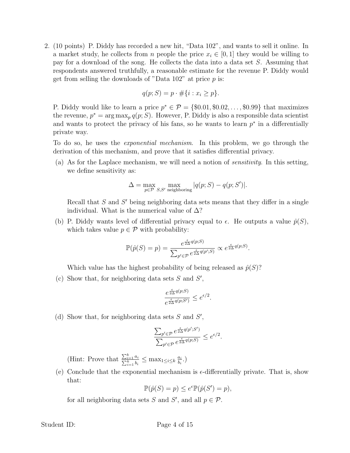2. (10 points) P. Diddy has recorded a new hit, "Data 102", and wants to sell it online. In a market study, he collects from *n* people the price  $x_i \in [0,1]$  they would be willing to pay for a download of the song. He collects the data into a data set *S*. Assuming that respondents answered truthfully, a reasonable estimate for the revenue P. Diddy would get from selling the downloads of "Data 102" at price *p* is:

$$
q(p;S) = p \cdot \#\{i : x_i \ge p\}.
$$

P. Diddy would like to learn a price  $p^* \in \mathcal{P} = \{\$0.01, \$0.02, \ldots, \$0.99\}$  that maximizes the revenue,  $p^* = \arg \max_p q(p; S)$ . However, P. Diddy is also a responsible data scientist and wants to protect the privacy of his fans, so he wants to learn  $p^*$  in a differentially private way.

To do so, he uses the *exponential mechanism*. In this problem, we go through the derivation of this mechanism, and prove that it satisfies differential privacy.

(a) As for the Laplace mechanism, we will need a notion of *sensitivity*. In this setting, we define sensitivity as:

$$
\Delta = \max_{p \in \mathcal{P}} \max_{S, S' \text{ neighboring}} |q(p; S) - q(p; S')|.
$$

Recall that  $S$  and  $S'$  being neighboring data sets means that they differ in a single individual. What is the numerical value of  $\Delta$ ?

(b) P. Diddy wants level of differential privacy equal to  $\epsilon$ . He outputs a value  $\hat{p}(S)$ , which takes value  $p \in \mathcal{P}$  with probability:

$$
\mathbb{P}(\hat{p}(S) = p) = \frac{e^{\frac{\epsilon}{2\Delta}q(p;S)}}{\sum_{p' \in \mathcal{P}} e^{\frac{\epsilon}{2\Delta}q(p';S)}} \propto e^{\frac{\epsilon}{2\Delta}q(p;S)}.
$$

Which value has the highest probability of being released as  $\hat{p}(S)$ ?

(c) Show that, for neighboring data sets  $S$  and  $S'$ ,

$$
\frac{e^{\frac{\epsilon}{2\Delta}q(p;S)}}{e^{\frac{\epsilon}{2\Delta}q(p;S')}} \leq e^{\epsilon/2}.
$$

(d) Show that, for neighboring data sets  $S$  and  $S'$ ,

$$
\frac{\sum_{p'\in\mathcal{P}}e^{\frac{\epsilon}{2\Delta}q(p';S')}}{\sum_{p'\in\mathcal{P}}e^{\frac{\epsilon}{2\Delta}q(p;S)}}\leq e^{\epsilon/2}.
$$

(Hint: Prove that  $\frac{\sum_{i=1}^{k} a_i}{\sum_{i=1}^{k} b_i} \le \max_{1 \le i \le k} \frac{a_i}{b_i}$ .)

(e) Conclude that the exponential mechanism is  $\epsilon$ -differentially private. That is, show that:

$$
\mathbb{P}(\hat{p}(S) = p) \le e^{\epsilon} \mathbb{P}(\hat{p}(S') = p),
$$

for all neighboring data sets *S* and *S'*, and all  $p \in \mathcal{P}$ .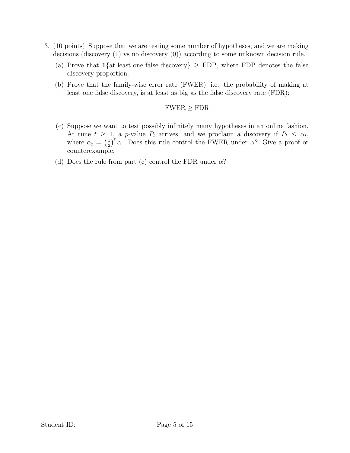- 3. (10 points) Suppose that we are testing some number of hypotheses, and we are making decisions (discovery (1) vs no discovery (0)) according to some unknown decision rule.
	- (a) Prove that  $1\{at\}$  least one false discovery  $\geq$  FDP, where FDP denotes the false discovery proportion.
	- (b) Prove that the family-wise error rate (FWER), i.e. the probability of making at least one false discovery, is at least as big as the false discovery rate (FDR):

## $FWER \ge FDR$ .

- (c) Suppose we want to test possibly infinitely many hypotheses in an online fashion. At time  $t \geq 1$ , a *p*-value  $P_t$  arrives, and we proclaim a discovery if  $P_t \leq \alpha_t$ , where  $\alpha_t = (\frac{1}{2})^t \alpha$ . Does this rule control the FWER under  $\alpha$ ? Give a proof or counterexample.
- (d) Does the rule from part (c) control the FDR under  $\alpha$ ?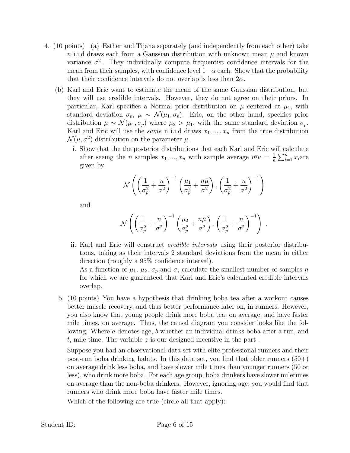- 4. (10 points) (a) Esther and Tijana separately (and independently from each other) take *n* i.i.d draws each from a Gaussian distribution with unknown mean *µ* and known variance  $\sigma^2$ . They individually compute frequentist confidence intervals for the mean from their samples, with confidence level  $1-\alpha$  each. Show that the probability that their confidence intervals do not overlap is less than  $2\alpha$ .
	- (b) Karl and Eric want to estimate the mean of the same Gaussian distribution, but they will use credible intervals. However, they do not agree on their priors. In particular, Karl specifies a Normal prior distribution on  $\mu$  centered at  $\mu_1$ , with standard deviation  $\sigma_p$ ,  $\mu \sim \mathcal{N}(\mu_1, \sigma_p)$ . Eric, on the other hand, specifies prior distribution  $\mu \sim \mathcal{N}(\mu_1, \sigma_p)$  where  $\mu_2 > \mu_1$ , with the same standard deviation  $\sigma_p$ . Karl and Eric will use the *same* n i.i.d draws  $x_1, \ldots, x_n$  from the true distribution  $\mathcal{N}(\mu, \sigma^2)$  distribution on the parameter  $\mu$ .
		- i. Show that the the posterior distributions that each Karl and Eric will calculate after seeing the *n* samples  $x_1, ..., x_n$  with sample average  $\overline{mu} = \frac{1}{n} \sum_{i=1}^n x_i$  are given by:

$$
\mathcal{N}\left(\left(\frac{1}{\sigma_p^2}+\frac{n}{\sigma^2}\right)^{-1}\left(\frac{\mu_1}{\sigma_p^2}+\frac{n\bar{\mu}}{\sigma^2}\right), \left(\frac{1}{\sigma_p^2}+\frac{n}{\sigma^2}\right)^{-1}\right)
$$

and

$$
\mathcal{N}\left(\left(\frac{1}{\sigma_p^2}+\frac{n}{\sigma^2}\right)^{-1}\left(\frac{\mu_2}{\sigma_p^2}+\frac{n\bar{\mu}}{\sigma^2}\right), \left(\frac{1}{\sigma_p^2}+\frac{n}{\sigma^2}\right)^{-1}\right)
$$

*.*

ii. Karl and Eric will construct *credible intervals* using their posterior distributions, taking as their intervals 2 standard deviations from the mean in either direction (roughly a 95% confidence interval).

As a function of  $\mu_1$ ,  $\mu_2$ ,  $\sigma_p$  and  $\sigma$ , calculate the smallest number of samples *n* for which we are guaranteed that Karl and Eric's calculated credible intervals overlap.

5. (10 points) You have a hypothesis that drinking boba tea after a workout causes better muscle recovery, and thus better performance later on, in runners. However, you also know that young people drink more boba tea, on average, and have faster mile times, on average. Thus, the causal diagram you consider looks like the following: Where *a* denotes age, *b* whether an individual drinks boba after a run, and *t*, mile time. The variable *z* is our designed incentive in the part .

Suppose you had an observational data set with elite professional runners and their post-run boba drinking habits. In this data set, you find that older runners  $(50+)$ on average drink less boba, and have slower mile times than younger runners (50 or less), who drink more boba. For each age group, boba drinkers have slower miletimes on average than the non-boba drinkers. However, ignoring age, you would find that runners who drink more boba have faster mile times.

Which of the following are true (circle all that apply):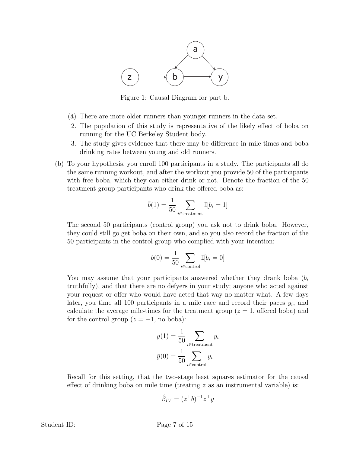

Figure 1: Causal Diagram for part b.

- (a)1. There are more older runners than younger runners in the data set.
- 2. The population of this study is representative of the likely effect of boba on running for the UC Berkeley Student body.
- 3. The study gives evidence that there may be difference in mile times and boba drinking rates between young and old runners.
- (b) To your hypothesis, you enroll 100 participants in a study. The participants all do the same running workout, and after the workout you provide 50 of the participants with free boba, which they can either drink or not. Denote the fraction of the 50 treatment group participants who drink the offered boba as:

$$
\bar{b}(1) = \frac{1}{50} \sum_{i \in \text{treatment}} \mathbb{I}[b_i = 1]
$$

The second 50 participants (control group) you ask not to drink boba. However, they could still go get boba on their own, and so you also record the fraction of the 50 participants in the control group who complied with your intention:

$$
\bar{b}(0) = \frac{1}{50} \sum_{i \in \text{control}} \mathbb{I}[b_i = 0]
$$

You may assume that your participants answered whether they drank boba (*b<sup>i</sup>* truthfully), and that there are no defyers in your study; anyone who acted against your request or offer who would have acted that way no matter what. A few days later, you time all 100 participants in a mile race and record their paces  $y_i$ , and calculate the average mile-times for the treatment group  $(z = 1, \text{ offered boba})$  and for the control group  $(z = -1)$ , no boba):

$$
\bar{y}(1) = \frac{1}{50} \sum_{i \in \text{treatment}} y_i
$$

$$
\bar{y}(0) = \frac{1}{50} \sum_{i \in \text{control}} y_i
$$

Recall for this setting, that the two-stage least squares estimator for the causal effect of drinking boba on mile time (treating  $z$  as an instrumental variable) is:

$$
\hat{\beta}_{IV} = (z^{\top}b)^{-1}z^{\top}y
$$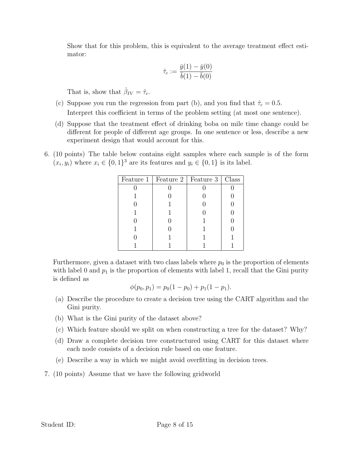Show that for this problem, this is equivalent to the average treatment effect estimator:

$$
\hat{\tau}_c := \frac{\bar{y}(1) - \bar{y}(0)}{\bar{b}(1) - \bar{b}(0)}
$$

That is, show that  $\hat{\beta}_{IV} = \hat{\tau}_c$ .

- (c) Suppose you run the regression from part (b), and you find that  $\hat{\tau}_c = 0.5$ . Interpret this coefficient in terms of the problem setting (at most one sentence).
- (d) Suppose that the treatment effect of drinking boba on mile time change could be different for people of different age groups. In one sentence or less, describe a new experiment design that would account for this.
- 6. (10 points) The table below contains eight samples where each sample is of the form  $(x_i, y_i)$  where  $x_i \in \{0, 1\}^3$  are its features and  $y_i \in \{0, 1\}$  is its label.

|  | Feature 1   Feature 2   Feature 3   Class |  |
|--|-------------------------------------------|--|
|  |                                           |  |
|  |                                           |  |
|  |                                           |  |
|  |                                           |  |
|  |                                           |  |
|  |                                           |  |
|  |                                           |  |
|  |                                           |  |

Furthermore, given a dataset with two class labels where  $p_0$  is the proportion of elements with label 0 and  $p_1$  is the proportion of elements with label 1, recall that the Gini purity is defined as

$$
\phi(p_0, p_1) = p_0(1 - p_0) + p_1(1 - p_1).
$$

- (a) Describe the procedure to create a decision tree using the CART algorithm and the Gini purity.
- (b) What is the Gini purity of the dataset above?
- (c) Which feature should we split on when constructing a tree for the dataset? Why?
- (d) Draw a complete decision tree constructured using CART for this dataset where each node consists of a decision rule based on one feature.
- (e) Describe a way in which we might avoid overfitting in decision trees.
- 7. (10 points) Assume that we have the following gridworld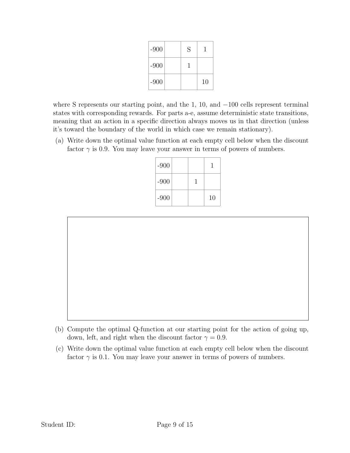| $-900$ | S |    |
|--------|---|----|
| $-900$ |   |    |
| $-900$ |   | 10 |

where S represents our starting point, and the 1, 10, and  $-100$  cells represent terminal states with corresponding rewards. For parts a-e, assume deterministic state transitions, meaning that an action in a specific direction always moves us in that direction (unless it's toward the boundary of the world in which case we remain stationary).

(a) Write down the optimal value function at each empty cell below when the discount factor  $\gamma$  is 0.9. You may leave your answer in terms of powers of numbers.

| $-900$ |  |    |
|--------|--|----|
| $-900$ |  |    |
| $-900$ |  | 10 |



- (b) Compute the optimal Q-function at our starting point for the action of going up, down, left, and right when the discount factor  $\gamma = 0.9$ .
- (c) Write down the optimal value function at each empty cell below when the discount factor  $\gamma$  is 0.1. You may leave your answer in terms of powers of numbers.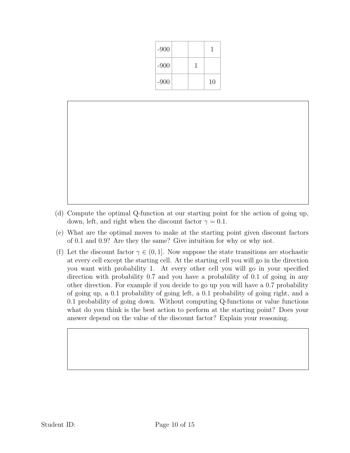| $-900$ |  |    |
|--------|--|----|
| $-900$ |  |    |
| $-900$ |  | 10 |

- (d) Compute the optimal Q-function at our starting point for the action of going up, down, left, and right when the discount factor  $\gamma = 0.1$ .
- (e) What are the optimal moves to make at the starting point given discount factors of 0*.*1 and 0*.*9? Are they the same? Give intuition for why or why not.
- (f) Let the discount factor  $\gamma \in (0,1]$ . Now suppose the state transitions are stochastic at every cell except the starting cell. At the starting cell you will go in the direction you want with probability 1. At every other cell you will go in your specified direction with probability 0*.*7 and you have a probability of 0*.*1 of going in any other direction. For example if you decide to go up you will have a 0*.*7 probability of going up, a 0*.*1 probability of going left, a 0*.*1 probability of going right, and a 0*.*1 probability of going down. Without computing Q-functions or value functions what do you think is the best action to perform at the starting point? Does your answer depend on the value of the discount factor? Explain your reasoning.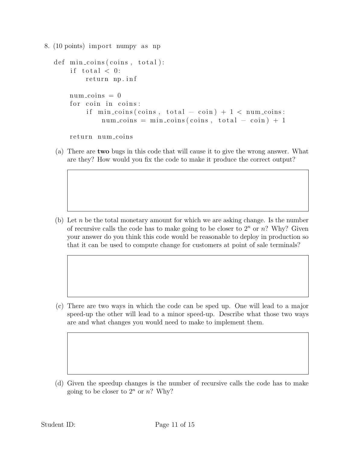```
8. (10 points) import numpy as np
def min coins (coins , total ):
     if total < 0:
          return np. inf
    num\_coins = 0for coin in coins :
          if \min_{\text{coins}} (\text{coins}, \text{total} - \text{coin}) + 1 < \text{num-coins}:
               num\_coints = min\_coints(coints, total - coin) + 1
```
return num coins

(a) There are two bugs in this code that will cause it to give the wrong answer. What are they? How would you fix the code to make it produce the correct output?

(b) Let *n* be the total monetary amount for which we are asking change. Is the number of recursive calls the code has to make going to be closer to  $2^n$  or  $n$ ? Why? Given your answer do you think this code would be reasonable to deploy in production so that it can be used to compute change for customers at point of sale terminals?

(c) There are two ways in which the code can be sped up. One will lead to a major speed-up the other will lead to a minor speed-up. Describe what those two ways are and what changes you would need to make to implement them.

(d) Given the speedup changes is the number of recursive calls the code has to make going to be closer to  $2^n$  or  $n$ ? Why?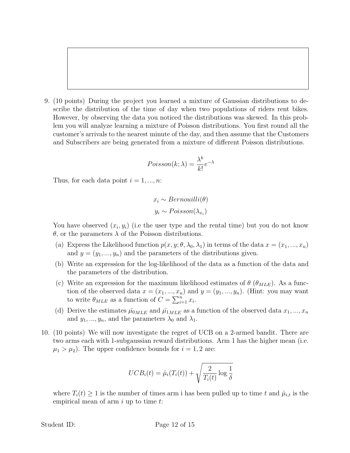9. (10 points) During the project you learned a mixture of Gaussian distributions to describe the distribution of the time of day when two populations of riders rent bikes. However, by observing the data you noticed the distributions was skewed. In this problem you will analyze learning a mixture of Poisson distributions. You first round all the customer's arrivals to the nearest minute of the day, and then assume that the Customers and Subscribers are being generated from a mixture of different Poisson distributions.

$$
Poisson(k; \lambda) = \frac{\lambda^k}{k!} e^{-\lambda}
$$

Thus, for each data point  $i = 1, ..., n$ :

$$
x_i \sim Bernouilli(\theta)
$$
  

$$
y_i \sim Poisson(\lambda_{x_i})
$$

You have observed  $(x_i, y_i)$  (i.e the user type and the rental time) but you do not know  $\theta$ , or the parameters  $\lambda$  of the Poisson distributions.

- (a) Express the Likelihood function  $p(x, y; \theta, \lambda_0, \lambda_1)$  in terms of the data  $x = (x_1, ..., x_n)$ and  $y = (y_1, ..., y_n)$  and the parameters of the distributions given.
- (b) Write an expression for the log-likelihood of the data as a function of the data and the parameters of the distribution.
- (c) Write an expression for the maximum likelihood estimates of  $\theta$  ( $\theta_{MLE}$ ). As a function of the observed data  $x = (x_1, ..., x_n)$  and  $y = (y_1, ..., y_n)$ . (Hint: you may want to write  $\theta_{MLE}$  as a function of  $C = \sum_{i=1}^{n} x_i$ .
- (d) Derive the estimates  $\hat{\mu}_{0MLE}$  and  $\hat{\mu}_{1MLE}$  as a function of the observed data  $x_1, ..., x_n$ and  $y_1, ..., y_n$ , and the parameters  $\lambda_0$  and  $\lambda_1$ .
- 10. (10 points) We will now investigate the regret of UCB on a 2-armed bandit. There are two arms each with 1-subgaussian reward distributions. Arm 1 has the higher mean (i.e.  $\mu_1 > \mu_2$ ). The upper confidence bounds for  $i = 1, 2$  are:

$$
UCB_i(t) = \hat{\mu}_i(T_i(t)) + \sqrt{\frac{2}{T_i(t)} \log \frac{1}{\delta}}
$$

where  $T_i(t) \geq 1$  is the number of times arm i has been pulled up to time t and  $\hat{\mu}_{i,t}$  is the empirical mean of arm *i* up to time *t*: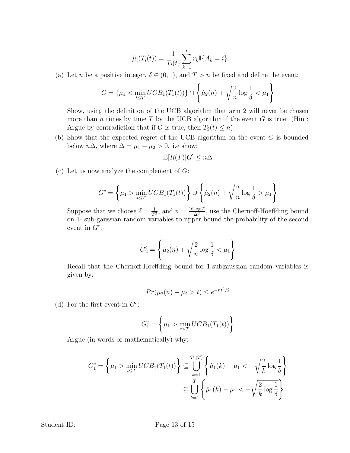$$
\hat{\mu}_i(T_i(t)) = \frac{1}{T_i(t)} \sum_{k=1}^t r_k \mathbb{I}\{A_k = i\}.
$$

(a) Let *n* be a positive integer,  $\delta \in (0, 1)$ , and  $T > n$  be fixed and define the event:

$$
G = \{\mu_1 < \min_{t \le T} UCB_1(T_1(t))\} \cap \left\{\hat{\mu}_2(n) + \sqrt{\frac{2}{n} \log \frac{1}{\delta}} < \mu_1\right\}
$$

Show, using the definition of the UCB algorithm that arm 2 will never be chosen more than  $n$  times by time  $T$  by the UCB algorithm if the event  $G$  is true. (Hint: Argue by contradiction that if G is true, then  $T_2(t) \leq n$ .

(b) Show that the expected regret of the UCB algorithm on the event *G* is bounded below  $n\Delta$ , where  $\Delta = \mu_1 - \mu_2 > 0$ . i.e show:

$$
\mathbb{E}[R(T)|G] \le n\Delta
$$

(c) Let us now analyze the complement of *G*:

$$
G^{c} = \left\{ \mu_1 > \min_{t \leq T} UCB_1(T_1(t)) \right\} \cup \left\{ \hat{\mu}_2(n) + \sqrt{\frac{2}{n} \log \frac{1}{\delta}} > \mu_1 \right\}
$$

Suppose that we choose  $\delta = \frac{1}{T^2}$ , and  $n = \frac{16 \log T}{\Delta^2}$ , use the Chernoff-Hoeffding bound on 1- sub-gaussian random variables to upper bound the probability of the second event in  $G^c$ :

$$
G_2^c = \left\{\hat{\mu}_2(n) + \sqrt{\frac{2}{n} \log \frac{1}{\delta}} < \mu_1\right\}
$$

Recall that the Chernoff-Hoeffding bound for 1-subgaussian random variables is given by:

$$
Pr(\hat{\mu}_2(n) - \mu_2 > t) \le e^{-nt^2/2}
$$

(d) For the first event in  $G^c$ :

$$
G_1^c = \left\{ \mu_1 > \min_{t \le T} UCB_1(T_1(t)) \right\}
$$

Argue (in words or mathematically) why:

$$
G_1^c = \left\{ \mu_1 > \min_{t \le T} UCB_1(T_1(t)) \right\} \subseteq \bigcup_{k=1}^{T_1(T)} \left\{ \hat{\mu}_1(k) - \mu_1 < -\sqrt{\frac{2}{k} \log \frac{1}{\delta}} \right\}
$$

$$
\subseteq \bigcup_{k=1}^{T} \left\{ \hat{\mu}_1(k) - \mu_1 < -\sqrt{\frac{2}{k} \log \frac{1}{\delta}} \right\}
$$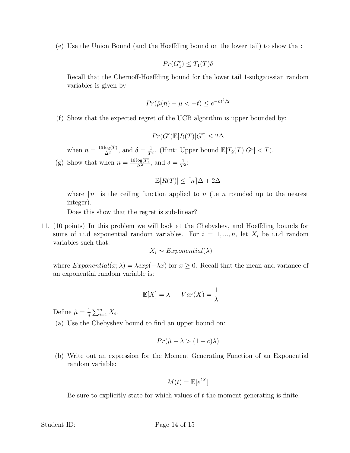(e) Use the Union Bound (and the Hoeffding bound on the lower tail) to show that:

$$
Pr(G_1^c) \le T_1(T)\delta
$$

Recall that the Chernoff-Hoeffding bound for the lower tail 1-subgaussian random variables is given by:

$$
Pr(\hat{\mu}(n) - \mu < -t) \le e^{-nt^2/2}
$$

(f) Show that the expected regret of the UCB algorithm is upper bounded by:

$$
Pr(G^c)\mathbb{E}[R(T)|G^c] \le 2\Delta
$$

when  $n = \frac{16 \log(T)}{\Delta^2}$ , and  $\delta = \frac{1}{T^2}$ . (Hint: Upper bound  $\mathbb{E}[T_2(T)|G^c] < T$ ).

(g) Show that when  $n = \frac{16 \log(T)}{\Delta^2}$ , and  $\delta = \frac{1}{T^2}$ :

$$
\mathbb{E}[R(T)] \leq \lceil n \rceil \Delta + 2\Delta
$$

where  $[n]$  is the ceiling function applied to *n* (i.e *n* rounded up to the nearest integer).

Does this show that the regret is sub-linear?

11. (10 points) In this problem we will look at the Chebyshev, and Hoeffding bounds for sums of i.i.d exponential random variables. For  $i = 1, ..., n$ , let  $X_i$  be i.i.d random variables such that:

$$
X_i \sim Exponential(\lambda)
$$

where *Exponential*(*x*;  $\lambda$ ) =  $\lambda exp(-\lambda x)$  for  $x \ge 0$ . Recall that the mean and variance of an exponential random variable is:

$$
\mathbb{E}[X] = \lambda \qquad Var(X) = \frac{1}{\lambda}
$$

Define  $\hat{\mu} = \frac{1}{n} \sum_{i=1}^{n} X_i$ .

(a) Use the Chebyshev bound to find an upper bound on:

$$
Pr(\hat{\mu} - \lambda > (1 + c)\lambda)
$$

(b) Write out an expression for the Moment Generating Function of an Exponential random variable:

$$
M(t) = \mathbb{E}[e^{tX}]
$$

Be sure to explicitly state for which values of *t* the moment generating is finite.